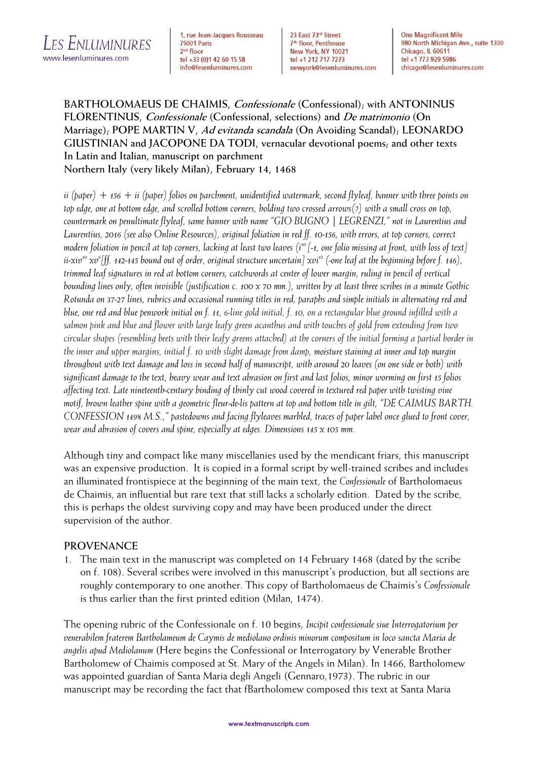

1, rue Jean-Jacques Rousseau **75001 Paris** 2<sup>nd</sup> floor tel +33 (0)1 42 60 15 58 info@lesenluminures.com

23 East 73rd Street 7<sup>th</sup> floor, Penthouse New York, NY 10021 tel +1 212 717 7273 newyork@lesenluminures.com **One Magnificent Mile** 980 North Michigan Ave., suite 1330 Chicago, IL 60611 tel +1 773 929 5986 chicago@lesenluminures.com

**BARTHOLOMAEUS DE CHAIMIS, Confessionale (Confessional); with ANTONINUS FLORENTINUS, Confessionale (Confessional, selections) and De matrimonio (On Marriage); POPE MARTIN V, Ad evitanda scandala (On Avoiding Scandal); LEONARDO GIUSTINIAN and JACOPONE DA TODI, vernacular devotional poems; and other texts In Latin and Italian, manuscript on parchment Northern Italy (very likely Milan), February 14, 1468**

*ii (paper) + 156 + ii (paper) folios on parchment, unidentified watermark, second flyleaf, banner with three points on top edge, one at bottom edge, and scrolled bottom corners, holding two crossed arrows(?) with a small cross on top, countermark on penultimate flyleaf, same banner with name "GIO BUGNO | LEGRENZI," not in Laurentius and Laurentius, 2016 (see also Online Resources), original foliation in red ff. 10-156, with errors, at top corners, correct modern foliation in pencil at top corners, lacking at least two leaves (i <sup>10</sup> [-1, one folio missing at front, with loss of text] ii-xiv 10 xv 6 [ff. 142-145 bound out of order, original structure uncertain] xvi<sup>12</sup> (-one leaf at the beginning before f. 146), trimmed leaf signatures in red at bottom corners, catchwords at center of lower margin, ruling in pencil of vertical bounding lines only, often invisible (justification c. 100 x 70 mm.), written by at least three scribes in a minute Gothic Rotunda on 37-27 lines, rubrics and occasional running titles in red, paraphs and simple initials in alternating red and blue, one red and blue penwork initial on f. 11, 6-line gold initial, f. 10, on a rectangular blue ground infilled with a salmon pink and blue and flower with large leafy green acanthus and with touches of gold from extending from two circular shapes (resembling beets with their leafy greens attached) at the corners of the initial forming a partial border in the inner and upper margins, initial f. 10 with slight damage from damp, moisture staining at inner and top margin throughout with text damage and loss in second half of manuscript, with around 20 leaves (on one side or both) with significant damage to the text, heavy wear and text abrasion on first and last folios, minor worming on first 15 folios affecting text. Late nineteenth-century binding of thinly cut wood covered in textured red paper with twisting vine motif, brown leather spine with a geometric fleur-de-lis pattern at top and bottom title in gilt, "DE CAIMUS BARTH. CONFESSION 1498 M.S.," pastedowns and facing flyleaves marbled, traces of paper label once glued to front cover, wear and abrasion of covers and spine, especially at edges. Dimensions 145 x 105 mm.* 

Although tiny and compact like many miscellanies used by the mendicant friars, this manuscript was an expensive production. It is copied in a formal script by well-trained scribes and includes an illuminated frontispiece at the beginning of the main text, the *Confessionale* of Bartholomaeus de Chaimis, an influential but rare text that still lacks a scholarly edition. Dated by the scribe, this is perhaps the oldest surviving copy and may have been produced under the direct supervision of the author.

## **PROVENANCE**

1. The main text in the manuscript was completed on 14 February 1468 (dated by the scribe on f. 108). Several scribes were involved in this manuscript's production, but all sections are roughly contemporary to one another. This copy of Bartholomaeus de Chaimis's *Confessionale* is thus earlier than the first printed edition (Milan, 1474).

The opening rubric of the Confessionale on f. 10 begins, *Incipit confessionale siue Interrogatorium per venerabilem fraterem Bartholameum de Caymis de mediolano ordinis minorum compositum in loco sancta Maria de angelis apud Mediolanum* (Here begins the Confessional or Interrogatory by Venerable Brother Bartholomew of Chaimis composed at St. Mary of the Angels in Milan). In 1466, Bartholomew was appointed guardian of Santa Maria degli Angeli (Gennaro,1973). The rubric in our manuscript may be recording the fact that fBartholomew composed this text at Santa Maria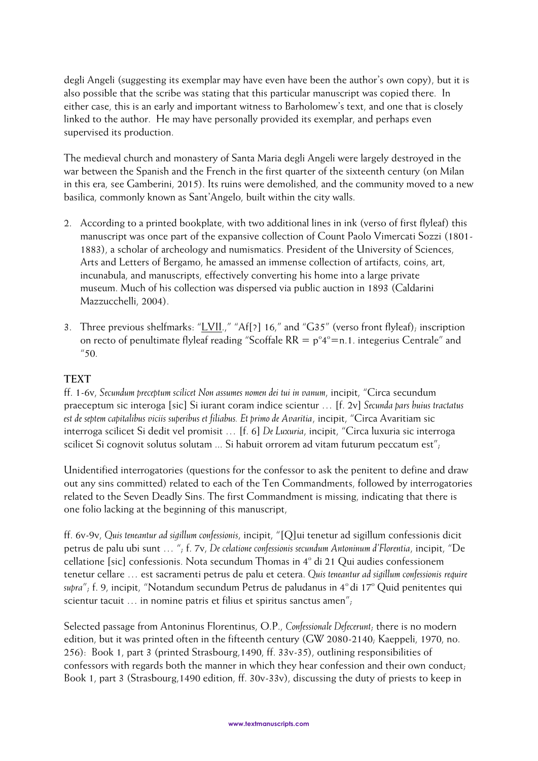degli Angeli (suggesting its exemplar may have even have been the author's own copy), but it is also possible that the scribe was stating that this particular manuscript was copied there. In either case, this is an early and important witness to Barholomew's text, and one that is closely linked to the author. He may have personally provided its exemplar, and perhaps even supervised its production.

The medieval church and monastery of Santa Maria degli Angeli were largely destroyed in the war between the Spanish and the French in the first quarter of the sixteenth century (on Milan in this era, see Gamberini, 2015). Its ruins were demolished, and the community moved to a new basilica, commonly known as Sant'Angelo, built within the city walls.

- 2. According to a printed bookplate, with two additional lines in ink (verso of first flyleaf) this manuscript was once part of the expansive collection of Count Paolo Vimercati Sozzi (1801- 1883), a scholar of archeology and numismatics. President of the University of Sciences, Arts and Letters of Bergamo, he amassed an immense collection of artifacts, coins, art, incunabula, and manuscripts, effectively converting his home into a large private museum. Much of his collection was dispersed via public auction in 1893 (Caldarini Mazzucchelli, 2004).
- 3. Three previous shelfmarks: " $LVII$ .," "Af[?] 16," and "G35" (verso front flyleaf); inscription on recto of penultimate flyleaf reading "Scoffale  $RR = p^{\circ}4^{\circ} = n.1$ . integerius Centrale" and  $^{\prime\prime}50$ .

## **TEXT**

ff. 1-6v, *Secundum preceptum scilicet Non assumes nomen dei tui in vanum*, incipit, "Circa secundum praeceptum sic interoga [sic] Si iurant coram indice scientur … [f. 2v] *Secunda pars huius tractatus est de septem capitalibus viciis superibus et filiabus. Et primo de Avaritia*, incipit, "Circa Avaritiam sic interroga scilicet Si dedit vel promisit … [f. 6] *De Luxuria*, incipit, "Circa luxuria sic interroga scilicet Si cognovit solutus solutam ... Si habuit orrorem ad vitam futurum peccatum est";

Unidentified interrogatories (questions for the confessor to ask the penitent to define and draw out any sins committed) related to each of the Ten Commandments, followed by interrogatories related to the Seven Deadly Sins. The first Commandment is missing, indicating that there is one folio lacking at the beginning of this manuscript,

ff. 6v-9v, *Quis teneantur ad sigillum confessionis*, incipit, "[Q]ui tenetur ad sigillum confessionis dicit petrus de palu ubi sunt … "; f. 7v, *De celatione confessionis secundum Antoninum d'Florentia*, incipit, "De cellatione [sic] confessionis. Nota secundum Thomas in 4° di 21 Qui audies confessionem tenetur cellare … est sacramenti petrus de palu et cetera. *Quis teneantur ad sigillum confessionis require*  supra"; f. 9, incipit, "Notandum secundum Petrus de paludanus in 4<sup>°</sup> di 17<sup>°</sup> Quid penitentes qui scientur tacuit … in nomine patris et filius et spiritus sanctus amen";

Selected passage from Antoninus Florentinus, O.P., *Confessionale Defecerunt*; there is no modern edition, but it was printed often in the fifteenth century (GW 2080-2140; Kaeppeli, 1970, no. 256): Book 1, part 3 (printed Strasbourg,1490, ff. 33v-35), outlining responsibilities of confessors with regards both the manner in which they hear confession and their own conduct; Book 1, part 3 (Strasbourg,1490 edition, ff. 30v-33v), discussing the duty of priests to keep in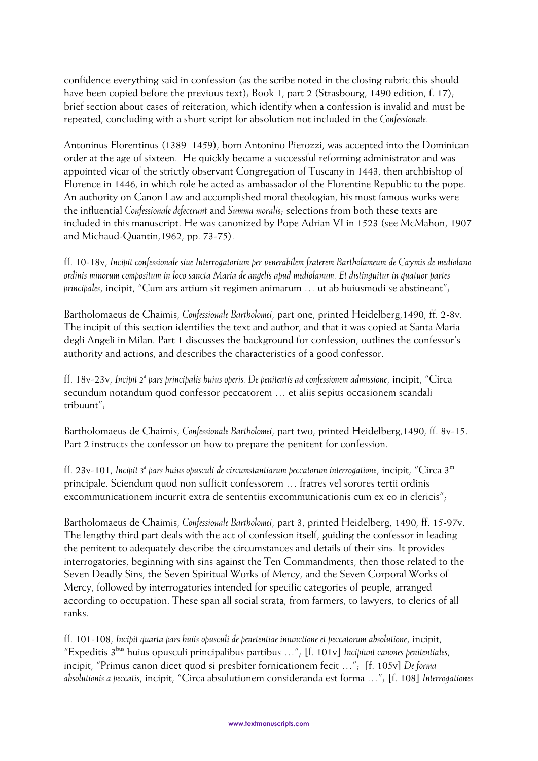confidence everything said in confession (as the scribe noted in the closing rubric this should have been copied before the previous text); Book 1, part 2 (Strasbourg, 1490 edition, f. 17); brief section about cases of reiteration, which identify when a confession is invalid and must be repeated, concluding with a short script for absolution not included in the *Confessionale*.

Antoninus Florentinus (1389–1459), born Antonino Pierozzi, was accepted into the Dominican order at the age of sixteen. He quickly became a successful reforming administrator and was appointed vicar of the strictly observant Congregation of Tuscany in 1443, then archbishop of Florence in 1446, in which role he acted as ambassador of the Florentine Republic to the pope. An authority on Canon Law and accomplished moral theologian, his most famous works were the influential *Confessionale defecerunt* and *Summa moralis*; selections from both these texts are included in this manuscript. He was canonized by Pope Adrian VI in 1523 (see McMahon, 1907 and Michaud-Quantin,1962, pp. 73-75).

ff. 10-18v, *Incipit confessionale siue Interrogatorium per venerabilem fraterem Bartholameum de Caymis de mediolano ordinis minorum compositum in loco sancta Maria de angelis apud mediolanum. Et distinguitur in quatuor partes principales*, incipit, "Cum ars artium sit regimen animarum … ut ab huiusmodi se abstineant";

Bartholomaeus de Chaimis, *Confessionale Bartholomei*, part one, printed Heidelberg,1490, ff. 2-8v. The incipit of this section identifies the text and author, and that it was copied at Santa Maria degli Angeli in Milan. Part 1 discusses the background for confession, outlines the confessor's authority and actions, and describes the characteristics of a good confessor.

ff. 18v-23v, Incipit 2<sup>a</sup> pars principalis huius operis. De penitentis ad confessionem admissione, incipit, "Circa secundum notandum quod confessor peccatorem … et aliis sepius occasionem scandali tribuunt";

Bartholomaeus de Chaimis, *Confessionale Bartholomei*, part two, printed Heidelberg,1490, ff. 8v-15. Part 2 instructs the confessor on how to prepare the penitent for confession.

ff. 23v-101, Incipit 3ª pars huius opusculi de circumstantiarum peccatorum interrogatione, incipit, "Circa 3<sup>m</sup> principale. Sciendum quod non sufficit confessorem … fratres vel sorores tertii ordinis excommunicationem incurrit extra de sententiis excommunicationis cum ex eo in clericis";

Bartholomaeus de Chaimis, *Confessionale Bartholomei*, part 3, printed Heidelberg, 1490, ff. 15-97v. The lengthy third part deals with the act of confession itself, guiding the confessor in leading the penitent to adequately describe the circumstances and details of their sins. It provides interrogatories, beginning with sins against the Ten Commandments, then those related to the Seven Deadly Sins, the Seven Spiritual Works of Mercy, and the Seven Corporal Works of Mercy, followed by interrogatories intended for specific categories of people, arranged according to occupation. These span all social strata, from farmers, to lawyers, to clerics of all ranks.

ff. 101-108, *Incipit quarta pars huiis opusculi de penetentiae iniunctione et peccatorum absolutione*, incipit, "Expeditis 3bus huius opusculi principalibus partibus …"; [f. 101v] *Incipiunt canones penitentiales*, incipit, "Primus canon dicet quod si presbiter fornicationem fecit …"; [f. 105v] *De forma absolutionis a peccatis*, incipit, "Circa absolutionem consideranda est forma …"; [f. 108] *Interrogationes*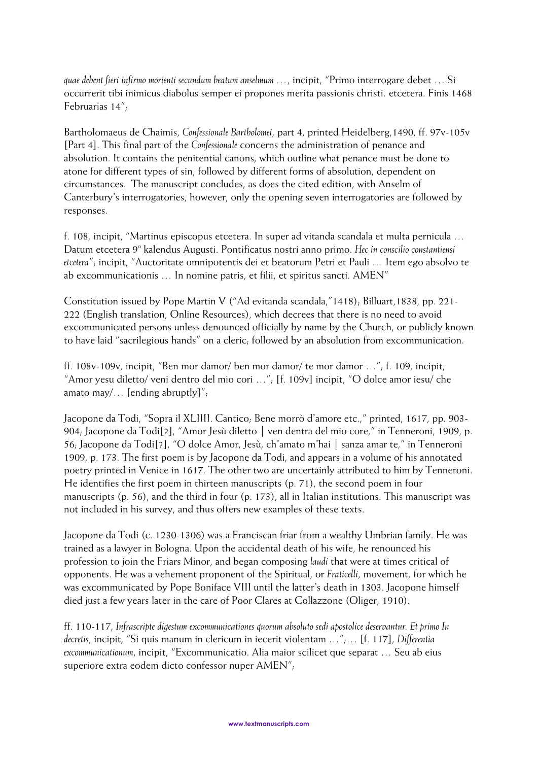*quae debent fieri infirmo morienti secundum beatum anselmum …*, incipit, "Primo interrogare debet … Si occurrerit tibi inimicus diabolus semper ei propones merita passionis christi. etcetera. Finis 1468 Februarias 14";

Bartholomaeus de Chaimis, *Confessionale Bartholomei*, part 4, printed Heidelberg,1490, ff. 97v-105v [Part 4]. This final part of the *Confessionale* concerns the administration of penance and absolution. It contains the penitential canons, which outline what penance must be done to atone for different types of sin, followed by different forms of absolution, dependent on circumstances. The manuscript concludes, as does the cited edition, with Anselm of Canterbury's interrogatories, however, only the opening seven interrogatories are followed by responses.

f. 108, incipit, "Martinus episcopus etcetera. In super ad vitanda scandala et multa pernicula … Datum etcetera 9<sup>°</sup> kalendus Augusti. Pontificatus nostri anno primo. Hec in conscilio constantiensi *etcetera*"; incipit, "Auctoritate omnipotentis dei et beatorum Petri et Pauli … Item ego absolvo te ab excommunicationis … In nomine patris, et filii, et spiritus sancti. AMEN"

Constitution issued by Pope Martin V ("Ad evitanda scandala,"1418); Billuart,1838, pp. 221- 222 (English translation, Online Resources), which decrees that there is no need to avoid excommunicated persons unless denounced officially by name by the Church, or publicly known to have laid "sacrilegious hands" on a cleric; followed by an absolution from excommunication.

ff. 108v-109v, incipit, "Ben mor damor/ ben mor damor/ te mor damor …"; f. 109, incipit, "Amor yesu diletto/ veni dentro del mio cori …"; [f. 109v] incipit, "O dolce amor iesu/ che amato may/... [ending abruptly]";

Jacopone da Todi, "Sopra il XLIIII. Cantico; Bene morrò d'amore etc.," printed, 1617, pp. 903-904; Jacopone da Todi[?], "Amor Jesù diletto | ven dentra del mio core," in Tenneroni, 1909, p. 56; Jacopone da Todi[?], "O dolce Amor, Jesù, ch'amato m'hai | sanza amar te," in Tenneroni 1909, p. 173. The first poem is by Jacopone da Todi, and appears in a volume of his annotated poetry printed in Venice in 1617. The other two are uncertainly attributed to him by Tenneroni. He identifies the first poem in thirteen manuscripts (p. 71), the second poem in four manuscripts (p. 56), and the third in four (p. 173), all in Italian institutions. This manuscript was not included in his survey, and thus offers new examples of these texts.

Jacopone da Todi (c. 1230-1306) was a Franciscan friar from a wealthy Umbrian family. He was trained as a lawyer in Bologna. Upon the accidental death of his wife, he renounced his profession to join the Friars Minor, and began composing *laudi* that were at times critical of opponents. He was a vehement proponent of the Spiritual, or *Fraticelli*, movement, for which he was excommunicated by Pope Boniface VIII until the latter's death in 1303. Jacopone himself died just a few years later in the care of Poor Clares at Collazzone (Oliger, 1910).

ff. 110-117, *Infrascripte digestum excommunicationes quorum absoluto sedi apostolice deservantur. Et primo In decretis*, incipit, "Si quis manum in clericum in iecerit violentam …";… [f. 117], *Differentia excommunicationum*, incipit, "Excommunicatio. Alia maior scilicet que separat … Seu ab eius superiore extra eodem dicto confessor nuper AMEN";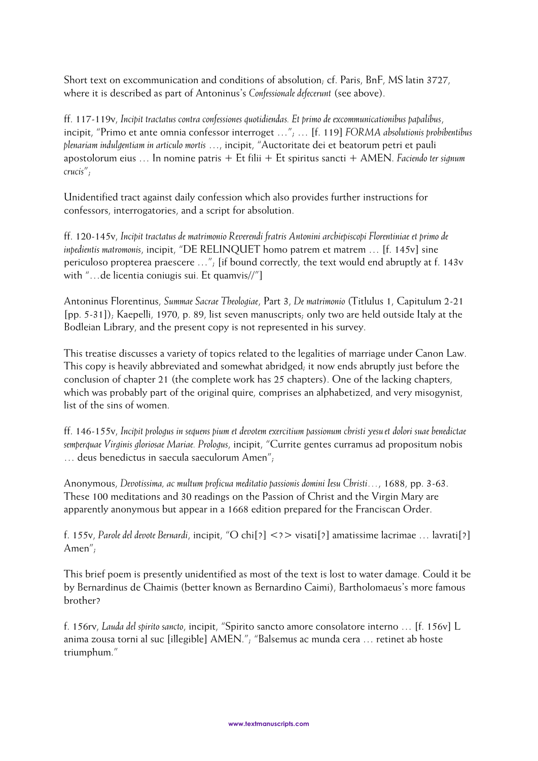Short text on excommunication and conditions of absolution; cf. Paris, BnF, MS latin 3727, where it is described as part of Antoninus's *Confessionale defecerunt* (see above).

ff. 117-119v, *Incipit tractatus contra confessiones quotidiendas. Et primo de excommunicationibus papalibus*, incipit, "Primo et ante omnia confessor interroget …"; … [f. 119] *FORMA absolutionis prohibentibus plenariam indulgentiam in articulo mortis* …, incipit, "Auctoritate dei et beatorum petri et pauli apostolorum eius … In nomine patris + Et filii + Et spiritus sancti + AMEN. *Faciendo ter signum crucis*";

Unidentified tract against daily confession which also provides further instructions for confessors, interrogatories, and a script for absolution.

ff. 120-145v, *Incipit tractatus de matrimonio Reverendi fratris Antonini archiepiscopi Florentiniae et primo de inpedientis matromonis*, incipit, "DE RELINQUET homo patrem et matrem … [f. 145v] sine periculoso propterea praescere …"; [if bound correctly, the text would end abruptly at f. 143v with "…de licentia coniugis sui. Et quamvis//"]

Antoninus Florentinus, *Summae Sacrae Theologiae*, Part 3, *De matrimonio* (Titlulus 1, Capitulum 2-21 [pp. 5-31]); Kaepelli, 1970, p. 89, list seven manuscripts; only two are held outside Italy at the Bodleian Library, and the present copy is not represented in his survey.

This treatise discusses a variety of topics related to the legalities of marriage under Canon Law. This copy is heavily abbreviated and somewhat abridged; it now ends abruptly just before the conclusion of chapter 21 (the complete work has 25 chapters). One of the lacking chapters, which was probably part of the original quire, comprises an alphabetized, and very misogynist, list of the sins of women.

ff. 146-155v, *Incipit prologus in sequens pium et devotem exercitium passionum christi yesu et dolori suae benedictae semperquae Virginis gloriosae Mariae. Prologus*, incipit, "Currite gentes curramus ad propositum nobis … deus benedictus in saecula saeculorum Amen";

Anonymous, *Devotissima, ac multum proficua meditatio passionis domini Iesu Christi…*, 1688, pp. 3-63. These 100 meditations and 30 readings on the Passion of Christ and the Virgin Mary are apparently anonymous but appear in a 1668 edition prepared for the Franciscan Order.

f. 155v, *Parole del devote Bernardi*, incipit, "O chi[?] <?> visati[?] amatissime lacrimae … lavrati[?] Amen";

This brief poem is presently unidentified as most of the text is lost to water damage. Could it be by Bernardinus de Chaimis (better known as Bernardino Caimi), Bartholomaeus's more famous brother?

f. 156rv, *Lauda del spirito sancto*, incipit, "Spirito sancto amore consolatore interno … [f. 156v] L anima zousa torni al suc [illegible] AMEN."; "Balsemus ac munda cera … retinet ab hoste triumphum."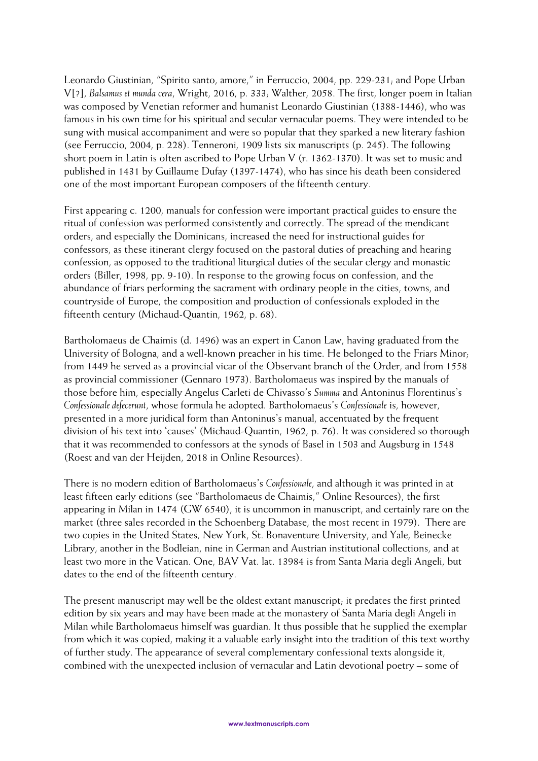Leonardo Giustinian, "Spirito santo, amore," in Ferruccio, 2004, pp. 229-231; and Pope Urban V[?], *Balsamus et munda cera*, Wright, 2016, p. 333; Walther, 2058. The first, longer poem in Italian was composed by Venetian reformer and humanist Leonardo Giustinian (1388-1446), who was famous in his own time for his spiritual and secular vernacular poems. They were intended to be sung with musical accompaniment and were so popular that they sparked a new literary fashion (see Ferruccio, 2004, p. 228). Tenneroni, 1909 lists six manuscripts (p. 245). The following short poem in Latin is often ascribed to Pope Urban V (r. 1362-1370). It was set to music and published in 1431 by Guillaume Dufay (1397-1474), who has since his death been considered one of the most important European composers of the fifteenth century.

First appearing c. 1200, manuals for confession were important practical guides to ensure the ritual of confession was performed consistently and correctly. The spread of the mendicant orders, and especially the Dominicans, increased the need for instructional guides for confessors, as these itinerant clergy focused on the pastoral duties of preaching and hearing confession, as opposed to the traditional liturgical duties of the secular clergy and monastic orders (Biller, 1998, pp. 9-10). In response to the growing focus on confession, and the abundance of friars performing the sacrament with ordinary people in the cities, towns, and countryside of Europe, the composition and production of confessionals exploded in the fifteenth century (Michaud-Quantin, 1962, p. 68).

Bartholomaeus de Chaimis (d. 1496) was an expert in Canon Law, having graduated from the University of Bologna, and a well-known preacher in his time. He belonged to the Friars Minor; from 1449 he served as a provincial vicar of the Observant branch of the Order, and from 1558 as provincial commissioner (Gennaro 1973). Bartholomaeus was inspired by the manuals of those before him, especially Angelus Carleti de Chivasso's *Summa* and Antoninus Florentinus's *Confessionale defecerunt*, whose formula he adopted. Bartholomaeus's *Confessionale* is, however, presented in a more juridical form than Antoninus's manual, accentuated by the frequent division of his text into 'causes' (Michaud-Quantin, 1962, p. 76). It was considered so thorough that it was recommended to confessors at the synods of Basel in 1503 and Augsburg in 1548 (Roest and van der Heijden, 2018 in Online Resources).

There is no modern edition of Bartholomaeus's *Confessionale*, and although it was printed in at least fifteen early editions (see "Bartholomaeus de Chaimis," Online Resources), the first appearing in Milan in 1474 (GW 6540), it is uncommon in manuscript, and certainly rare on the market (three sales recorded in the Schoenberg Database, the most recent in 1979). There are two copies in the United States, New York, St. Bonaventure University, and Yale, Beinecke Library, another in the Bodleian, nine in German and Austrian institutional collections, and at least two more in the Vatican. One, BAV Vat. lat. 13984 is from Santa Maria degli Angeli, but dates to the end of the fifteenth century.

The present manuscript may well be the oldest extant manuscript; it predates the first printed edition by six years and may have been made at the monastery of Santa Maria degli Angeli in Milan while Bartholomaeus himself was guardian. It thus possible that he supplied the exemplar from which it was copied, making it a valuable early insight into the tradition of this text worthy of further study. The appearance of several complementary confessional texts alongside it, combined with the unexpected inclusion of vernacular and Latin devotional poetry – some of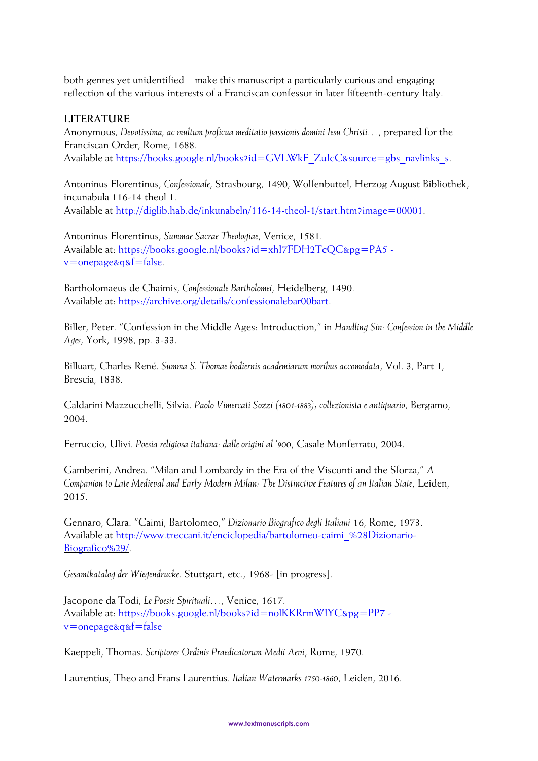both genres yet unidentified – make this manuscript a particularly curious and engaging reflection of the various interests of a Franciscan confessor in later fifteenth-century Italy.

## **LITERATURE**

Anonymous, *Devotissima, ac multum proficua meditatio passionis domini Iesu Christi…*, prepared for the Franciscan Order, Rome, 1688. Available at [https://books.google.nl/books?id=GVLWkF\\_ZuIcC&source=gbs\\_navlinks\\_s.](https://books.google.nl/books?id=GVLWkF_ZuIcC&source=gbs_navlinks_s)

Antoninus Florentinus, *Confessionale*, Strasbourg, 1490, Wolfenbuttel, Herzog August Bibliothek, incunabula 116-14 theol 1. Available at [http://diglib.hab.de/inkunabeln/116-14-theol-1/start.htm?image=00001.](http://diglib.hab.de/inkunabeln/116-14-theol-1/start.htm?image=00001)

Antoninus Florentinus, *Summae Sacrae Theologiae*, Venice, 1581. Available at: https://books.google.nl/books?id=xhI7FDH2TcOC&pg=PA5 [v=onepage&q&f=false.](https://books.google.nl/books?id=xhI7FDH2TcQC&pg=PA5#v=onepage&q&f=false)

Bartholomaeus de Chaimis, *Confessionale Bartholomei*, Heidelberg, 1490. Available at: [https://archive.org/details/confessionalebar00bart.](https://archive.org/details/confessionalebar00bart)

Biller, Peter. "Confession in the Middle Ages: Introduction," in *Handling Sin: Confession in the Middle Ages*, York, 1998, pp. 3-33.

Billuart, Charles René. *Summa S. Thomae hodiernis academiarum moribus accomodata*, Vol. 3, Part 1, Brescia, 1838.

Caldarini Mazzucchelli, Silvia. *Paolo Vimercati Sozzi (1801-1883); collezionista e antiquario*, Bergamo, 2004.

Ferruccio, Ulivi. *Poesia religiosa italiana: dalle origini al '900*, Casale Monferrato, 2004.

Gamberini, Andrea. "Milan and Lombardy in the Era of the Visconti and the Sforza," *A Companion to Late Medieval and Early Modern Milan: The Distinctive Features of an Italian State*, Leiden, 2015.

Gennaro, Clara. "Caimi, Bartolomeo," *Dizionario Biografico degli Italiani* 16, Rome, 1973. Available at [http://www.treccani.it/enciclopedia/bartolomeo-caimi\\_%28Dizionario-](http://www.treccani.it/enciclopedia/bartolomeo-caimi_%28Dizionario-Biografico%29/)[Biografico%29/.](http://www.treccani.it/enciclopedia/bartolomeo-caimi_%28Dizionario-Biografico%29/)

*Gesamtkatalog der Wiegendrucke*. Stuttgart, etc., 1968- [in progress].

Jacopone da Todi, *Le Poesie Spirituali…*, Venice, 1617. Available at: [https://books.google.nl/books?id=nolKKRrmWIYC&pg=PP7](https://books.google.nl/books?id=nolKKRrmWIYC&pg=PP7#v=onepage&q&f=false)  [v=onepage&q&f=false](https://books.google.nl/books?id=nolKKRrmWIYC&pg=PP7#v=onepage&q&f=false)

Kaeppeli, Thomas. *Scriptores Ordinis Praedicatorum Medii Aevi*, Rome, 1970.

Laurentius, Theo and Frans Laurentius. *Italian Watermarks 1750-1860*, Leiden, 2016.